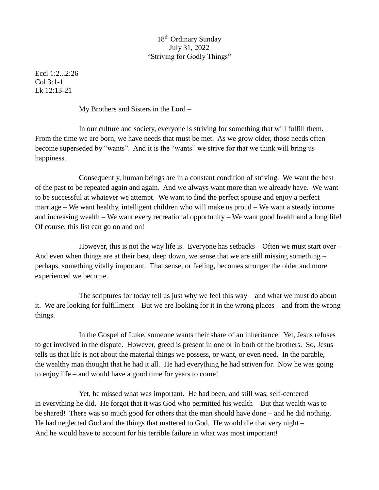## 18th Ordinary Sunday July 31, 2022 "Striving for Godly Things"

Eccl 1:2...2:26 Col 3:1-11 Lk 12:13-21

My Brothers and Sisters in the Lord –

In our culture and society, everyone is striving for something that will fulfill them. From the time we are born, we have needs that must be met. As we grow older, those needs often become superseded by "wants". And it is the "wants" we strive for that we think will bring us happiness.

Consequently, human beings are in a constant condition of striving. We want the best of the past to be repeated again and again. And we always want more than we already have. We want to be successful at whatever we attempt. We want to find the perfect spouse and enjoy a perfect marriage – We want healthy, intelligent children who will make us proud – We want a steady income and increasing wealth – We want every recreational opportunity – We want good health and a long life! Of course, this list can go on and on!

However, this is not the way life is. Everyone has setbacks  $-$  Often we must start over  $-$ And even when things are at their best, deep down, we sense that we are still missing something – perhaps, something vitally important. That sense, or feeling, becomes stronger the older and more experienced we become.

The scriptures for today tell us just why we feel this way – and what we must do about it. We are looking for fulfillment – But we are looking for it in the wrong places – and from the wrong things.

In the Gospel of Luke, someone wants their share of an inheritance. Yet, Jesus refuses to get involved in the dispute. However, greed is present in one or in both of the brothers. So, Jesus tells us that life is not about the material things we possess, or want, or even need. In the parable, the wealthy man thought that he had it all. He had everything he had striven for. Now he was going to enjoy life – and would have a good time for years to come!

Yet, he missed what was important. He had been, and still was, self-centered in everything he did. He forgot that it was God who permitted his wealth – But that wealth was to be shared! There was so much good for others that the man should have done – and he did nothing. He had neglected God and the things that mattered to God. He would die that very night – And he would have to account for his terrible failure in what was most important!